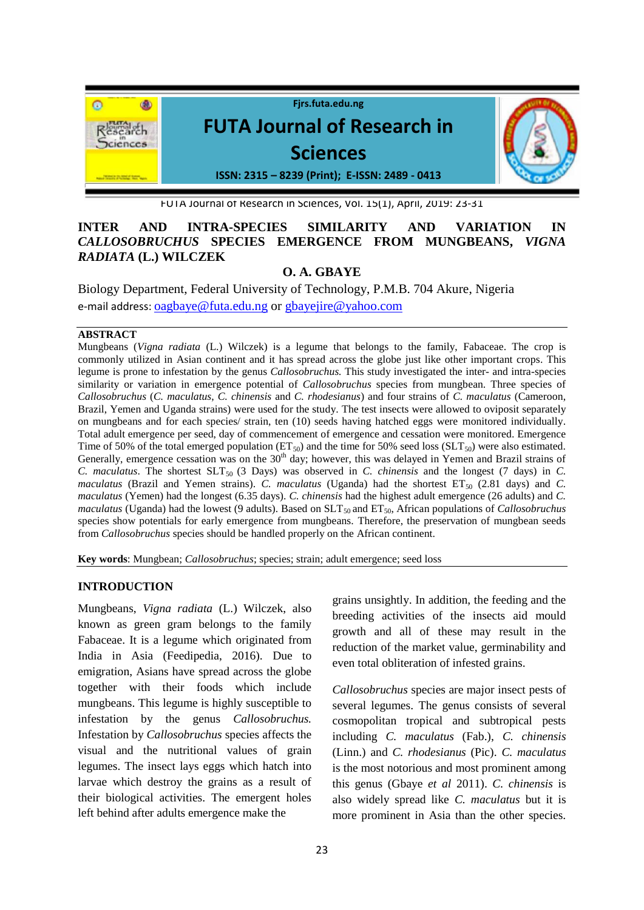

FUTA Journal of Research in Sciences, Vol. 15(1), April, 2019: 23-31

# **INTER AND INTRA-SPECIES SIMILARITY AND VARIATION IN**  *CALLOSOBRUCHUS* **SPECIES EMERGENCE FROM MUNGBEANS,** *VIGNA RADIATA* **(L.) WILCZEK**

# **O. A. GBAYE**

Biology Department, Federal University of Technology, P.M.B. 704 Akure, Nigeria e-mail address: [oagbaye@futa.edu.ng](mailto:oagbaye@futa.edu.ng) or [gbayejire@yahoo.com](mailto:gbayejire@yahoo.com)

#### **ABSTRACT**

Mungbeans (*Vigna radiata* (L.) Wilczek) is a legume that belongs to the family, Fabaceae. The crop is commonly utilized in Asian continent and it has spread across the globe just like other important crops. This legume is prone to infestation by the genus *Callosobruchus.* This study investigated the inter- and intra-species similarity or variation in emergence potential of *Callosobruchus* species from mungbean. Three species of *Callosobruchus* (*C. maculatus*, *C. chinensis* and *C. rhodesianus*) and four strains of *C. maculatus* (Cameroon, Brazil, Yemen and Uganda strains) were used for the study. The test insects were allowed to oviposit separately on mungbeans and for each species/ strain, ten (10) seeds having hatched eggs were monitored individually. Total adult emergence per seed, day of commencement of emergence and cessation were monitored. Emergence Time of 50% of the total emerged population ( $ET_{50}$ ) and the time for 50% seed loss ( $SLT_{50}$ ) were also estimated. Generally, emergence cessation was on the 30<sup>th</sup> day; however, this was delayed in Yemen and Brazil strains of *C. maculatus.* The shortest  $SLT_{50}$  (3 Days) was observed in *C. chinensis* and the longest (7 days) in *C. maculatus* (Brazil and Yemen strains). *C. maculatus* (Uganda) had the shortest  $ET_{50}$  (2.81 days) and *C. maculatus* (Yemen) had the longest (6.35 days). *C. chinensis* had the highest adult emergence (26 adults) and *C. maculatus* (Uganda) had the lowest (9 adults). Based on SLT<sub>50</sub> and ET<sub>50</sub>, African populations of *Callosobruchus* species show potentials for early emergence from mungbeans. Therefore, the preservation of mungbean seeds from *Callosobruchus* species should be handled properly on the African continent.

**Key words**: Mungbean; *Callosobruchus*; species; strain; adult emergence; seed loss

### **INTRODUCTION**

Mungbeans, *Vigna radiata* (L.) Wilczek, also known as green gram belongs to the family Fabaceae. It is a legume which originated from India in Asia (Feedipedia, 2016). Due to emigration, Asians have spread across the globe together with their foods which include mungbeans. This legume is highly susceptible to infestation by the genus *Callosobruchus.* Infestation by *Callosobruchus* species affects the visual and the nutritional values of grain legumes. The insect lays eggs which hatch into larvae which destroy the grains as a result of their biological activities. The emergent holes left behind after adults emergence make the

grains unsightly. In addition, the feeding and the breeding activities of the insects aid mould growth and all of these may result in the reduction of the market value, germinability and even total obliteration of infested grains.

*Callosobruchus* species are major insect pests of several legumes. The genus consists of several cosmopolitan tropical and subtropical pests including *C. maculatus* (Fab.), *C. chinensis* (Linn.) and *C. rhodesianus* (Pic). *C. maculatus* is the most notorious and most prominent among this genus (Gbaye *et al* 2011). *C. chinensis* is also widely spread like *C. maculatus* but it is more prominent in Asia than the other species.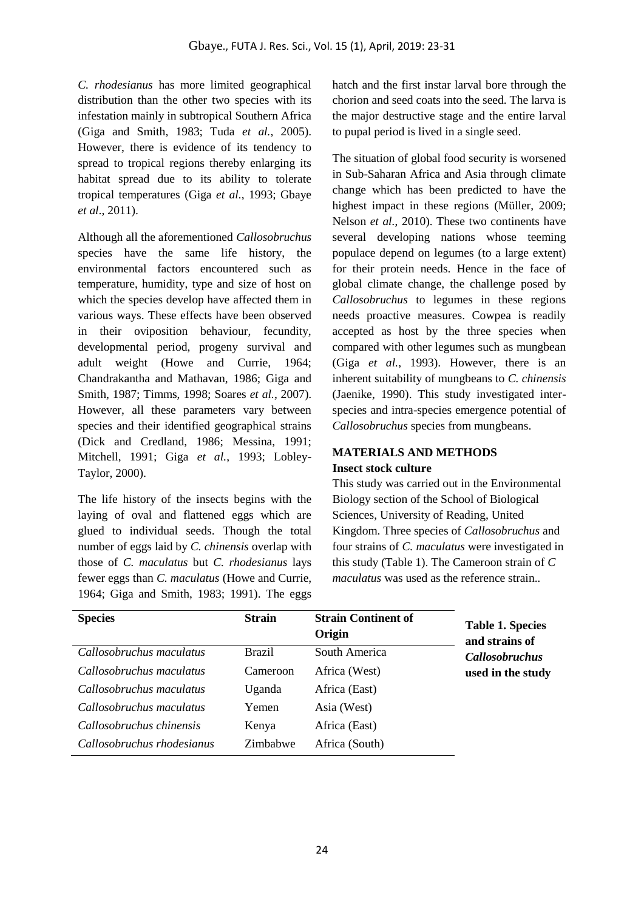*C. rhodesianus* has more limited geographical distribution than the other two species with its infestation mainly in subtropical Southern Africa (Giga and Smith, 1983; Tuda *et al.*, 2005). However, there is evidence of its tendency to spread to tropical regions thereby enlarging its habitat spread due to its ability to tolerate tropical temperatures (Giga *et al.*, 1993; Gbaye *et al*., 2011).

Although all the aforementioned *Callosobruchus* species have the same life history, the environmental factors encountered such as temperature, humidity, type and size of host on which the species develop have affected them in various ways. These effects have been observed in their oviposition behaviour, fecundity, developmental period, progeny survival and adult weight (Howe and Currie, 1964; Chandrakantha and Mathavan, 1986; Giga and Smith, 1987; Timms, 1998; Soares *et al.*, 2007). However, all these parameters vary between species and their identified geographical strains (Dick and Credland, 1986; Messina, 1991; Mitchell, 1991; Giga *et al.*, 1993; Lobley-Taylor, 2000).

The life history of the insects begins with the laying of oval and flattened eggs which are glued to individual seeds. Though the total number of eggs laid by *C. chinensis* overlap with those of *C. maculatus* but *C. rhodesianus* lays fewer eggs than *C. maculatus* (Howe and Currie, 1964; Giga and Smith, 1983; 1991). The eggs

hatch and the first instar larval bore through the chorion and seed coats into the seed. The larva is the major destructive stage and the entire larval to pupal period is lived in a single seed.

The situation of global food security is worsened in Sub-Saharan Africa and Asia through climate change which has been predicted to have the highest impact in these regions (Müller, 2009; Nelson *et al.*, 2010). These two continents have several developing nations whose teeming populace depend on legumes (to a large extent) for their protein needs. Hence in the face of global climate change, the challenge posed by *Callosobruchus* to legumes in these regions needs proactive measures. Cowpea is readily accepted as host by the three species when compared with other legumes such as mungbean (Giga *et al.*, 1993). However, there is an inherent suitability of mungbeans to *C. chinensis* (Jaenike, 1990). This study investigated interspecies and intra-species emergence potential of *Callosobruchus* species from mungbeans.

# **MATERIALS AND METHODS**

# **Insect stock culture**

This study was carried out in the Environmental Biology section of the School of Biological Sciences, University of Reading, United Kingdom. Three species of *Callosobruchus* and four strains of *C. maculatus* were investigated in this study (Table 1). The Cameroon strain of *C maculatus* was used as the reference strain.*.* 

| <b>Species</b>             | <b>Strain</b> | <b>Strain Continent of</b><br>Origin | <b>Table 1. Species</b><br>and strains of |
|----------------------------|---------------|--------------------------------------|-------------------------------------------|
| Callosobruchus maculatus   | <b>Brazil</b> | South America                        | <i>Callosobruchus</i>                     |
| Callosobruchus maculatus   | Cameroon      | Africa (West)                        | used in the study                         |
| Callosobruchus maculatus   | Uganda        | Africa (East)                        |                                           |
| Callosobruchus maculatus   | Yemen         | Asia (West)                          |                                           |
| Callosobruchus chinensis   | Kenya         | Africa (East)                        |                                           |
| Callosobruchus rhodesianus | Zimbabwe      | Africa (South)                       |                                           |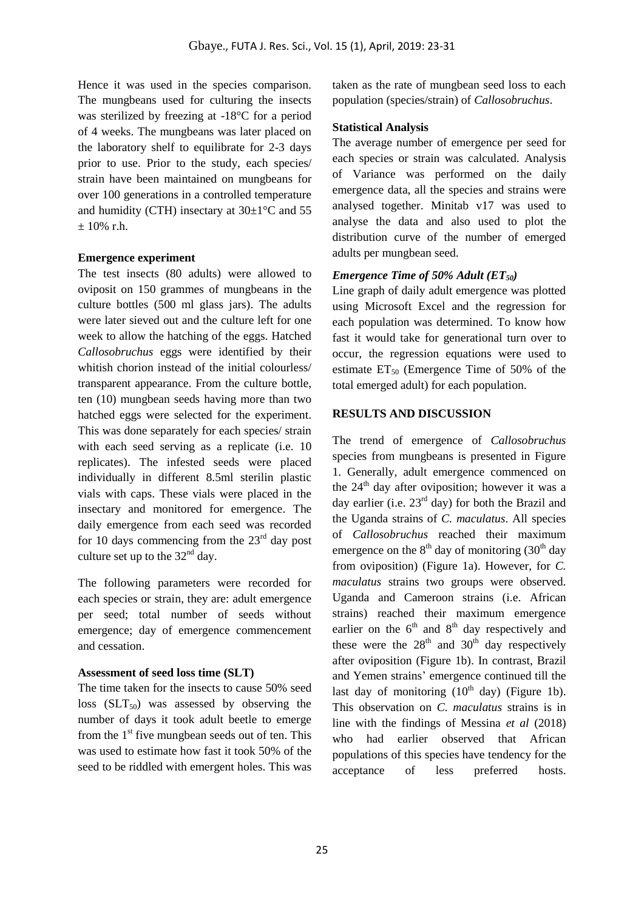Hence it was used in the species comparison. The mungbeans used for culturing the insects was sterilized by freezing at -18°C for a period of 4 weeks. The mungbeans was later placed on the laboratory shelf to equilibrate for 2-3 days prior to use. Prior to the study, each species/ strain have been maintained on mungbeans for over 100 generations in a controlled temperature and humidity (CTH) insectary at  $30\pm1\,^{\circ}$ C and 55 ± 10% r.h.

## **Emergence experiment**

The test insects (80 adults) were allowed to oviposit on 150 grammes of mungbeans in the culture bottles (500 ml glass jars). The adults were later sieved out and the culture left for one week to allow the hatching of the eggs. Hatched *Callosobruchus* eggs were identified by their whitish chorion instead of the initial colourless/ transparent appearance. From the culture bottle, ten (10) mungbean seeds having more than two hatched eggs were selected for the experiment. This was done separately for each species/ strain with each seed serving as a replicate (i.e. 10 replicates). The infested seeds were placed individually in different 8.5ml sterilin plastic vials with caps. These vials were placed in the insectary and monitored for emergence. The daily emergence from each seed was recorded for 10 days commencing from the  $23<sup>rd</sup>$  day post culture set up to the  $32<sup>nd</sup>$  day.

The following parameters were recorded for each species or strain, they are: adult emergence per seed; total number of seeds without emergence; day of emergence commencement and cessation.

## **Assessment of seed loss time (SLT)**

The time taken for the insects to cause 50% seed loss  $(SLT_{50})$  was assessed by observing the number of days it took adult beetle to emerge from the  $1<sup>st</sup>$  five mungbean seeds out of ten. This was used to estimate how fast it took 50% of the seed to be riddled with emergent holes. This was taken as the rate of mungbean seed loss to each population (species/strain) of *Callosobruchus*.

## **Statistical Analysis**

The average number of emergence per seed for each species or strain was calculated. Analysis of Variance was performed on the daily emergence data, all the species and strains were analysed together. Minitab v17 was used to analyse the data and also used to plot the distribution curve of the number of emerged adults per mungbean seed.

# *Emergence Time of 50% Adult (ET50)*

Line graph of daily adult emergence was plotted using Microsoft Excel and the regression for each population was determined. To know how fast it would take for generational turn over to occur, the regression equations were used to estimate  $ET_{50}$  (Emergence Time of 50% of the total emerged adult) for each population.

# **RESULTS AND DISCUSSION**

The trend of emergence of *Callosobruchus* species from mungbeans is presented in Figure 1. Generally, adult emergence commenced on the  $24<sup>th</sup>$  day after oviposition; however it was a day earlier (i.e.  $23<sup>rd</sup>$  day) for both the Brazil and the Uganda strains of *C. maculatus*. All species of *Callosobruchus* reached their maximum emergence on the  $8<sup>th</sup>$  day of monitoring (30<sup>th</sup> day from oviposition) (Figure 1a). However, for *C. maculatus* strains two groups were observed. Uganda and Cameroon strains (i.e. African strains) reached their maximum emergence earlier on the  $6<sup>th</sup>$  and  $8<sup>th</sup>$  day respectively and these were the  $28<sup>th</sup>$  and  $30<sup>th</sup>$  day respectively after oviposition (Figure 1b). In contrast, Brazil and Yemen strains' emergence continued till the last day of monitoring  $(10<sup>th</sup>$  day) (Figure 1b). This observation on *C. maculatus* strains is in line with the findings of Messina *et al* (2018) who had earlier observed that African populations of this species have tendency for the acceptance of less preferred hosts.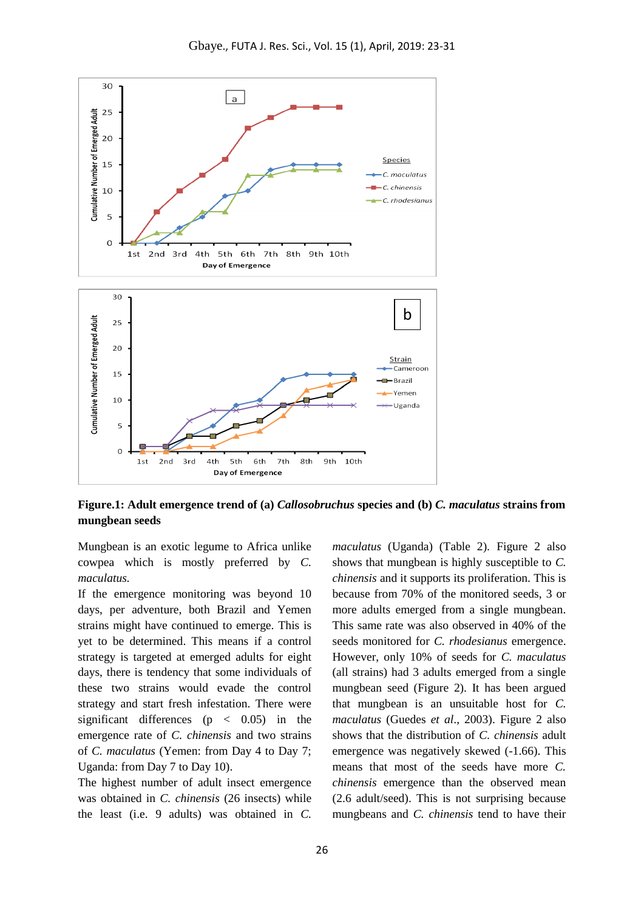

**Figure.1: Adult emergence trend of (a)** *Callosobruchus* **species and (b)** *C. maculatus* **strains from mungbean seeds**

Mungbean is an exotic legume to Africa unlike cowpea which is mostly preferred by *C. maculatus.*

If the emergence monitoring was beyond 10 days, per adventure, both Brazil and Yemen strains might have continued to emerge. This is yet to be determined. This means if a control strategy is targeted at emerged adults for eight days, there is tendency that some individuals of these two strains would evade the control strategy and start fresh infestation. There were significant differences ( $p \lt 0.05$ ) in the emergence rate of *C. chinensis* and two strains of *C. maculatus* (Yemen: from Day 4 to Day 7; Uganda: from Day 7 to Day 10).

The highest number of adult insect emergence was obtained in *C. chinensis* (26 insects) while the least (i.e. 9 adults) was obtained in *C.* 

*maculatus* (Uganda) (Table 2)*.* Figure 2 also shows that mungbean is highly susceptible to *C. chinensis* and it supports its proliferation. This is because from 70% of the monitored seeds, 3 or more adults emerged from a single mungbean. This same rate was also observed in 40% of the seeds monitored for *C. rhodesianus* emergence. However, only 10% of seeds for *C. maculatus* (all strains) had 3 adults emerged from a single mungbean seed (Figure 2). It has been argued that mungbean is an unsuitable host for *C. maculatus* (Guedes *et al*., 2003). Figure 2 also shows that the distribution of *C. chinensis* adult emergence was negatively skewed (-1.66). This means that most of the seeds have more *C. chinensis* emergence than the observed mean (2.6 adult/seed). This is not surprising because mungbeans and *C. chinensis* tend to have their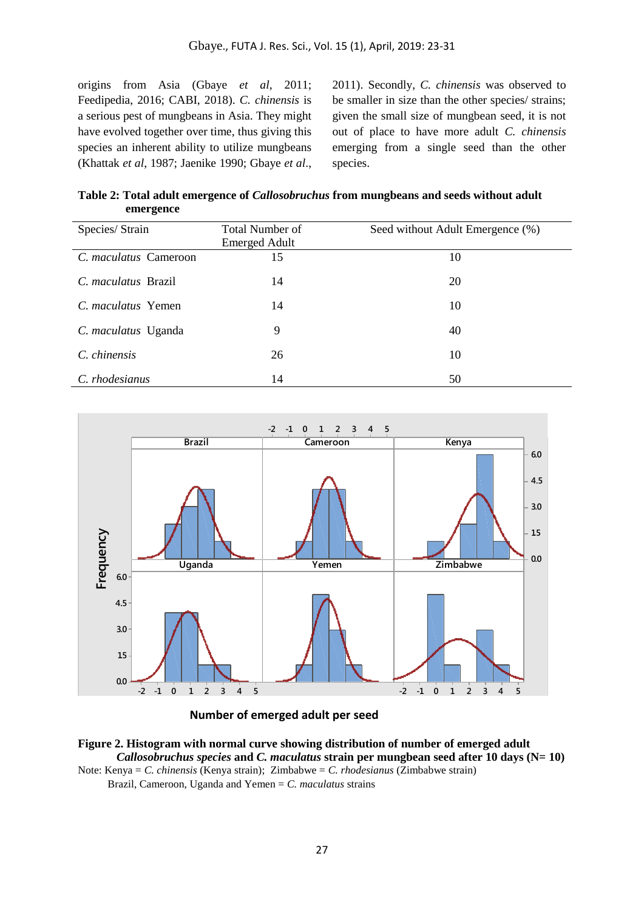origins from Asia (Gbaye *et al*, 2011; Feedipedia, 2016; CABI, 2018). *C. chinensis* is a serious pest of mungbeans in Asia. They might have evolved together over time, thus giving this species an inherent ability to utilize mungbeans (Khattak *et al*, 1987; Jaenike 1990; Gbaye *et al*.,

2011). Secondly, *C. chinensis* was observed to be smaller in size than the other species/ strains; given the small size of mungbean seed, it is not out of place to have more adult *C. chinensis* emerging from a single seed than the other species.

**Table 2: Total adult emergence of** *Callosobruchus* **from mungbeans and seeds without adult emergence**

| Species/ Strain           | <b>Total Number of</b><br><b>Emerged Adult</b> | Seed without Adult Emergence (%) |
|---------------------------|------------------------------------------------|----------------------------------|
| C. maculatus Cameroon     | 15                                             | 10                               |
| C. maculatus Brazil       | 14                                             | 20                               |
| C. <i>maculatus</i> Yemen | 14                                             | 10                               |
| C. maculatus Uganda       | 9                                              | 40                               |
| C. chinensis              | 26                                             | 10                               |
| C. rhodesianus            | 14                                             | 50                               |



**Number of emerged adult per seed**



Brazil, Cameroon, Uganda and Yemen = *C. maculatus* strains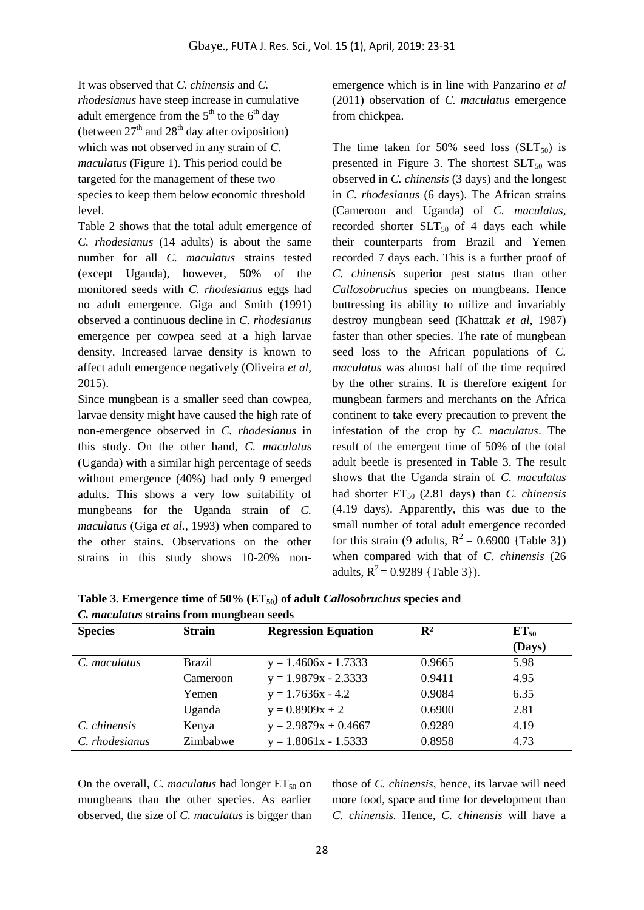It was observed that *C. chinensis* and *C. rhodesianus* have steep increase in cumulative adult emergence from the  $5<sup>th</sup>$  to the  $6<sup>th</sup>$  day (between  $27<sup>th</sup>$  and  $28<sup>th</sup>$  day after oviposition) which was not observed in any strain of *C. maculatus* (Figure 1). This period could be targeted for the management of these two species to keep them below economic threshold level.

Table 2 shows that the total adult emergence of *C. rhodesianus* (14 adults) is about the same number for all *C. maculatus* strains tested (except Uganda), however, 50% of the monitored seeds with *C. rhodesianus* eggs had no adult emergence. Giga and Smith (1991) observed a continuous decline in *C. rhodesianus* emergence per cowpea seed at a high larvae density. Increased larvae density is known to affect adult emergence negatively (Oliveira *et al*, 2015).

Since mungbean is a smaller seed than cowpea, larvae density might have caused the high rate of non-emergence observed in *C. rhodesianus* in this study. On the other hand, *C. maculatus* (Uganda) with a similar high percentage of seeds without emergence (40%) had only 9 emerged adults. This shows a very low suitability of mungbeans for the Uganda strain of *C. maculatus* (Giga *et al.*, 1993) when compared to the other stains. Observations on the other strains in this study shows 10-20% nonemergence which is in line with Panzarino *et al* (2011) observation of *C. maculatus* emergence from chickpea.

The time taken for 50% seed loss  $(SLT_{50})$  is presented in Figure 3. The shortest  $SLT_{50}$  was observed in *C. chinensis* (3 days) and the longest in *C. rhodesianus* (6 days). The African strains (Cameroon and Uganda) of *C. maculatus*, recorded shorter  $SLT_{50}$  of 4 days each while their counterparts from Brazil and Yemen recorded 7 days each. This is a further proof of *C. chinensis* superior pest status than other *Callosobruchus* species on mungbeans. Hence buttressing its ability to utilize and invariably destroy mungbean seed (Khatttak *et al*, 1987) faster than other species. The rate of mungbean seed loss to the African populations of *C. maculatus* was almost half of the time required by the other strains. It is therefore exigent for mungbean farmers and merchants on the Africa continent to take every precaution to prevent the infestation of the crop by *C. maculatus*. The result of the emergent time of 50% of the total adult beetle is presented in Table 3. The result shows that the Uganda strain of *C. maculatus* had shorter  $ET_{50}$  (2.81 days) than *C. chinensis* (4.19 days). Apparently, this was due to the small number of total adult emergence recorded for this strain (9 adults,  $R^2 = 0.6900$  {Table 3}) when compared with that of *C. chinensis* (26 adults,  $R^2 = 0.9289$  {Table 3}).

| <b>Strain</b> | <b>Regression Equation</b> | $\mathbf{R}^2$ | $ET_{50}$ |  |
|---------------|----------------------------|----------------|-----------|--|
|               |                            |                | (Days)    |  |
| <b>Brazil</b> | $y = 1.4606x - 1.7333$     | 0.9665         | 5.98      |  |
| Cameroon      | $y = 1.9879x - 2.3333$     | 0.9411         | 4.95      |  |
| Yemen         | $y = 1.7636x - 4.2$        | 0.9084         | 6.35      |  |
| Uganda        | $y = 0.8909x + 2$          | 0.6900         | 2.81      |  |
| Kenya         | $y = 2.9879x + 0.4667$     | 0.9289         | 4.19      |  |
| Zimbabwe      | $y = 1.8061x - 1.5333$     | 0.8958         | 4.73      |  |
|               |                            |                |           |  |

**Table 3. Emergence time of 50% (ET50) of adult** *Callosobruchus* **species and**  *C. maculatus* **strains from mungbean seeds**

On the overall, *C. maculatus* had longer  $ET_{50}$  on mungbeans than the other species. As earlier observed, the size of *C. maculatus* is bigger than

those of *C. chinensis*, hence, its larvae will need more food, space and time for development than *C. chinensis.* Hence, *C. chinensis* will have a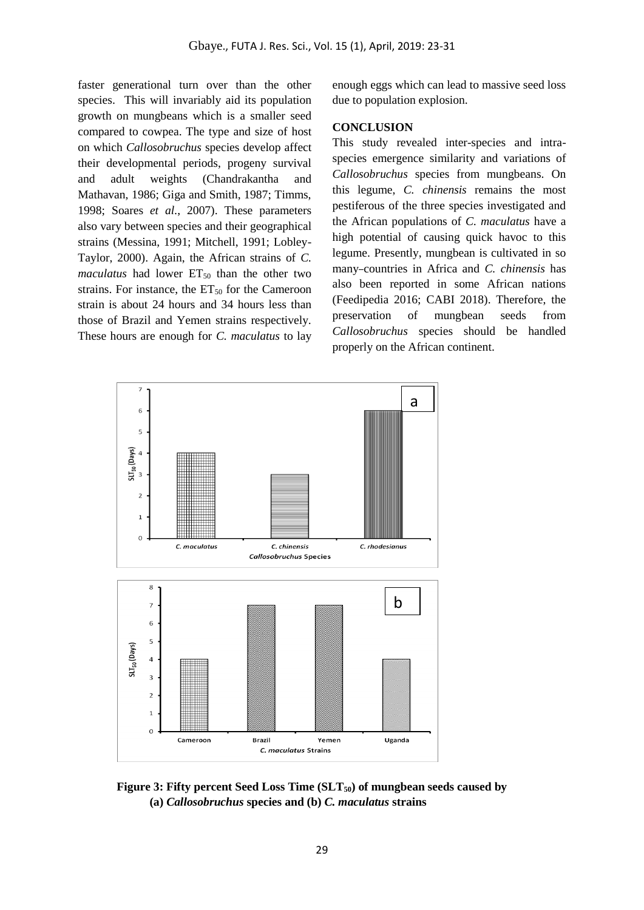faster generational turn over than the other species. This will invariably aid its population growth on mungbeans which is a smaller seed compared to cowpea. The type and size of host on which *Callosobruchus* species develop affect their developmental periods, progeny survival and adult weights (Chandrakantha and Mathavan, 1986; Giga and Smith, 1987; Timms, 1998; Soares *et al.*, 2007). These parameters also vary between species and their geographical strains (Messina, 1991; Mitchell, 1991; Lobley-Taylor, 2000). Again, the African strains of *C. maculatus* had lower  $ET_{50}$  than the other two strains. For instance, the  $ET_{50}$  for the Cameroon strain is about 24 hours and 34 hours less than those of Brazil and Yemen strains respectively. These hours are enough for *C. maculatus* to lay

enough eggs which can lead to massive seed loss due to population explosion.

#### **CONCLUSION**

This study revealed inter-species and intraspecies emergence similarity and variations of *Callosobruchus* species from mungbeans. On this legume, *C. chinensis* remains the most pestiferous of the three species investigated and the African populations of *C. maculatus* have a high potential of causing quick havoc to this legume. Presently, mungbean is cultivated in so many countries in Africa and *C. chinensis* has also been reported in some African nations (Feedipedia 2016; CABI 2018). Therefore, the preservation of mungbean seeds from *Callosobruchus* species should be handled properly on the African continent.



**Figure 3: Fifty percent Seed Loss Time (SLT50) of mungbean seeds caused by (a)** *Callosobruchus* **species and (b)** *C. maculatus* **strains**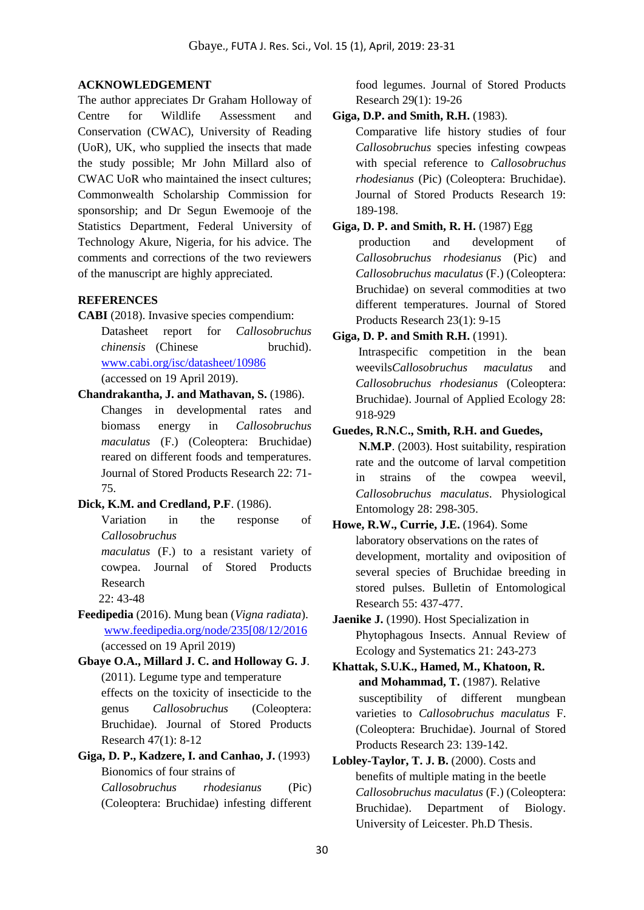#### **ACKNOWLEDGEMENT**

The author appreciates Dr Graham Holloway of Centre for Wildlife Assessment and Conservation (CWAC), University of Reading (UoR), UK, who supplied the insects that made the study possible; Mr John Millard also of CWAC UoR who maintained the insect cultures; Commonwealth Scholarship Commission for sponsorship; and Dr Segun Ewemooje of the Statistics Department, Federal University of Technology Akure, Nigeria, for his advice. The comments and corrections of the two reviewers of the manuscript are highly appreciated.

#### **REFERENCES**

- **CABI** (2018). Invasive species compendium: Datasheet report for *Callosobruchus chinensis* (Chinese bruchid). [www.cabi.org/isc/datasheet/10986](http://www.cabi.org/isc/datasheet/10986)  (accessed on 19 April 2019).
- **Chandrakantha, J. and Mathavan, S.** (1986). Changes in developmental rates and biomass energy in *Callosobruchus maculatus* (F.) (Coleoptera: Bruchidae) reared on different foods and temperatures. Journal of Stored Products Research 22: 71- 75.

### **Dick, K.M. and Credland, P.F**. (1986).

Variation in the response of *Callosobruchus* 

*maculatus* (F.) to a resistant variety of cowpea. Journal of Stored Products Research

22: 43-48

**Feedipedia** (2016). Mung bean (*Vigna radiata*). [www.feedipedia.org/node/235\[08/12/2016](http://www.feedipedia.org/node/235%5b08/12/2016) (accessed on 19 April 2019)

**Gbaye O.A., Millard J. C. and Holloway G. J**. (2011). Legume type and temperature effects on the toxicity of insecticide to the genus *Callosobruchus* (Coleoptera: Bruchidae). Journal of Stored Products Research 47(1): 8-12

**Giga, D. P., Kadzere, I. and Canhao, J.** (1993) Bionomics of four strains of *Callosobruchus rhodesianus* (Pic) (Coleoptera: Bruchidae) infesting different

food legumes. Journal of Stored Products Research 29(1): 19-26

**Giga, D.P. and Smith, R.H.** (1983).

Comparative life history studies of four *Callosobruchus* species infesting cowpeas with special reference to *Callosobruchus rhodesianus* (Pic) (Coleoptera: Bruchidae). Journal of Stored Products Research 19: 189-198.

### **Giga, D. P. and Smith, R. H.** (1987) Egg

production and development of *Callosobruchus rhodesianus* (Pic) and *Callosobruchus maculatus* (F.) (Coleoptera: Bruchidae) on several commodities at two different temperatures. Journal of Stored Products Research 23(1): 9-15

#### **Giga, D. P. and Smith R.H.** (1991).

Intraspecific competition in the bean weevils*Callosobruchus maculatus* and *Callosobruchus rhodesianus* (Coleoptera: Bruchidae). Journal of Applied Ecology 28: 918-929

**Guedes, R.N.C., Smith, R.H. and Guedes,**

**N.M.P**. (2003). Host suitability, respiration rate and the outcome of larval competition in strains of the cowpea weevil, *Callosobruchus maculatus*. Physiological Entomology 28: 298-305.

# **Howe, R.W., Currie, J.E.** (1964). Some laboratory observations on the rates of development, mortality and oviposition of several species of Bruchidae breeding in stored pulses. Bulletin of Entomological Research 55: 437-477.

**Jaenike J.** (1990). Host Specialization in Phytophagous Insects. Annual Review of Ecology and Systematics 21: 243-273

**Khattak, S.U.K., Hamed, M., Khatoon, R. and Mohammad, T.** (1987). Relative susceptibility of different mungbean varieties to *Callosobruchus maculatus* F. (Coleoptera: Bruchidae). Journal of Stored Products Research 23: 139-142.

**Lobley-Taylor, T. J. B.** (2000). Costs and benefits of multiple mating in the beetle *Callosobruchus maculatus* (F.) (Coleoptera: Bruchidae). Department of Biology. University of Leicester. Ph.D Thesis.